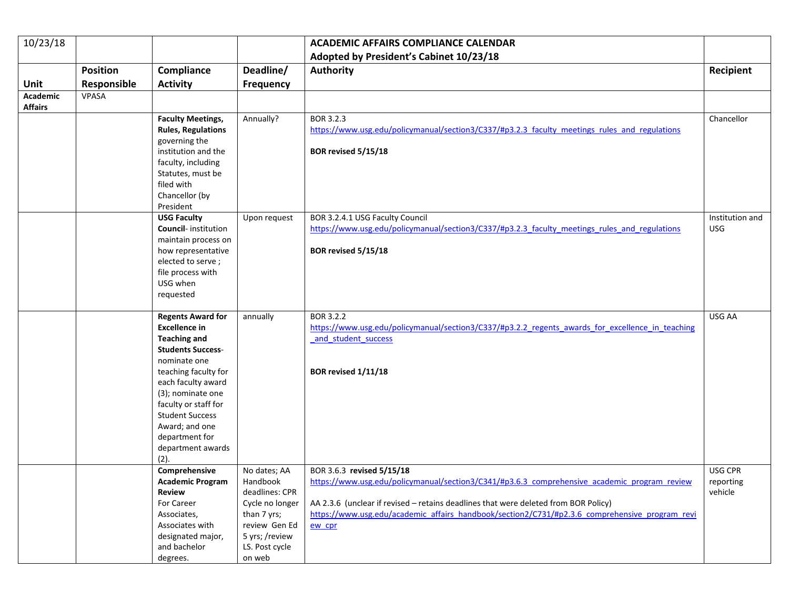| 10/23/18       |                 |                                                    |                                | <b>ACADEMIC AFFAIRS COMPLIANCE CALENDAR</b>                                                      |                               |
|----------------|-----------------|----------------------------------------------------|--------------------------------|--------------------------------------------------------------------------------------------------|-------------------------------|
|                |                 |                                                    |                                | Adopted by President's Cabinet 10/23/18                                                          |                               |
|                | <b>Position</b> | Compliance                                         | Deadline/                      | <b>Authority</b>                                                                                 | Recipient                     |
| Unit           | Responsible     | <b>Activity</b>                                    | <b>Frequency</b>               |                                                                                                  |                               |
| Academic       | VPASA           |                                                    |                                |                                                                                                  |                               |
| <b>Affairs</b> |                 |                                                    |                                |                                                                                                  |                               |
|                |                 | <b>Faculty Meetings,</b>                           | Annually?                      | BOR 3.2.3                                                                                        | Chancellor                    |
|                |                 | <b>Rules, Regulations</b>                          |                                | https://www.usg.edu/policymanual/section3/C337/#p3.2.3 faculty meetings rules and regulations    |                               |
|                |                 | governing the                                      |                                |                                                                                                  |                               |
|                |                 | institution and the                                |                                | BOR revised 5/15/18                                                                              |                               |
|                |                 | faculty, including                                 |                                |                                                                                                  |                               |
|                |                 | Statutes, must be                                  |                                |                                                                                                  |                               |
|                |                 | filed with                                         |                                |                                                                                                  |                               |
|                |                 | Chancellor (by                                     |                                |                                                                                                  |                               |
|                |                 | President                                          |                                |                                                                                                  |                               |
|                |                 | <b>USG Faculty</b>                                 | Upon request                   | BOR 3.2.4.1 USG Faculty Council                                                                  | Institution and<br><b>USG</b> |
|                |                 | <b>Council-</b> institution<br>maintain process on |                                | https://www.usg.edu/policymanual/section3/C337/#p3.2.3 faculty meetings rules and regulations    |                               |
|                |                 | how representative                                 |                                | BOR revised 5/15/18                                                                              |                               |
|                |                 | elected to serve;                                  |                                |                                                                                                  |                               |
|                |                 | file process with                                  |                                |                                                                                                  |                               |
|                |                 | USG when                                           |                                |                                                                                                  |                               |
|                |                 | requested                                          |                                |                                                                                                  |                               |
|                |                 |                                                    |                                |                                                                                                  |                               |
|                |                 | <b>Regents Award for</b>                           | annually                       | <b>BOR 3.2.2</b>                                                                                 | USG AA                        |
|                |                 | <b>Excellence in</b>                               |                                | https://www.usg.edu/policymanual/section3/C337/#p3.2.2 regents awards for excellence in teaching |                               |
|                |                 | <b>Teaching and</b>                                |                                | and student success                                                                              |                               |
|                |                 | <b>Students Success-</b><br>nominate one           |                                |                                                                                                  |                               |
|                |                 | teaching faculty for                               |                                | BOR revised 1/11/18                                                                              |                               |
|                |                 | each faculty award                                 |                                |                                                                                                  |                               |
|                |                 | (3); nominate one                                  |                                |                                                                                                  |                               |
|                |                 | faculty or staff for                               |                                |                                                                                                  |                               |
|                |                 | <b>Student Success</b>                             |                                |                                                                                                  |                               |
|                |                 | Award; and one                                     |                                |                                                                                                  |                               |
|                |                 | department for                                     |                                |                                                                                                  |                               |
|                |                 | department awards                                  |                                |                                                                                                  |                               |
|                |                 | (2).                                               |                                |                                                                                                  |                               |
|                |                 | Comprehensive                                      | No dates; AA                   | BOR 3.6.3 revised 5/15/18                                                                        | USG CPR                       |
|                |                 | <b>Academic Program</b>                            | Handbook                       | https://www.usg.edu/policymanual/section3/C341/#p3.6.3 comprehensive academic program review     | reporting                     |
|                |                 | <b>Review</b>                                      | deadlines: CPR                 | AA 2.3.6 (unclear if revised - retains deadlines that were deleted from BOR Policy)              | vehicle                       |
|                |                 | For Career                                         | Cycle no longer<br>than 7 yrs; | https://www.usg.edu/academic affairs handbook/section2/C731/#p2.3.6 comprehensive program revi   |                               |
|                |                 | Associates,<br>Associates with                     | review Gen Ed                  | ew cpr                                                                                           |                               |
|                |                 | designated major,                                  | 5 yrs; /review                 |                                                                                                  |                               |
|                |                 | and bachelor                                       | LS. Post cycle                 |                                                                                                  |                               |
|                |                 | degrees.                                           | on web                         |                                                                                                  |                               |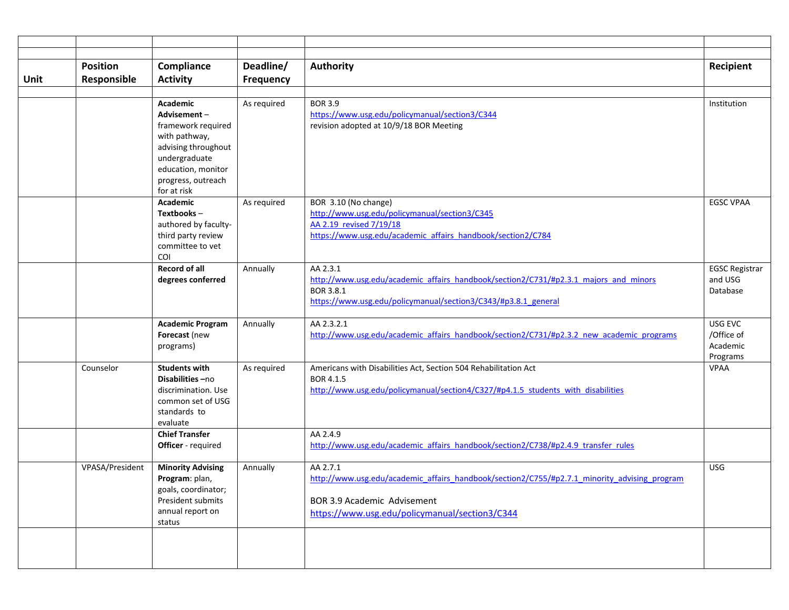|      | <b>Position</b> | Compliance                                 | Deadline/        | <b>Authority</b>                                                                                         | Recipient             |
|------|-----------------|--------------------------------------------|------------------|----------------------------------------------------------------------------------------------------------|-----------------------|
| Unit | Responsible     | <b>Activity</b>                            | <b>Frequency</b> |                                                                                                          |                       |
|      |                 |                                            |                  | <b>BOR 3.9</b>                                                                                           |                       |
|      |                 | Academic<br>Advisement-                    | As required      | https://www.usg.edu/policymanual/section3/C344                                                           | Institution           |
|      |                 | framework required                         |                  | revision adopted at 10/9/18 BOR Meeting                                                                  |                       |
|      |                 | with pathway,                              |                  |                                                                                                          |                       |
|      |                 | advising throughout                        |                  |                                                                                                          |                       |
|      |                 | undergraduate<br>education, monitor        |                  |                                                                                                          |                       |
|      |                 | progress, outreach                         |                  |                                                                                                          |                       |
|      |                 | for at risk                                |                  |                                                                                                          |                       |
|      |                 | Academic                                   | As required      | BOR 3.10 (No change)                                                                                     | <b>EGSC VPAA</b>      |
|      |                 | $Textbooks -$                              |                  | http://www.usg.edu/policymanual/section3/C345                                                            |                       |
|      |                 | authored by faculty-<br>third party review |                  | AA 2.19 revised 7/19/18<br>https://www.usg.edu/academic_affairs_handbook/section2/C784                   |                       |
|      |                 | committee to yet                           |                  |                                                                                                          |                       |
|      |                 | COI                                        |                  |                                                                                                          |                       |
|      |                 | <b>Record of all</b>                       | Annually         | AA 2.3.1                                                                                                 | <b>EGSC Registrar</b> |
|      |                 | degrees conferred                          |                  | http://www.usg.edu/academic affairs handbook/section2/C731/#p2.3.1 majors and minors<br>BOR 3.8.1        | and USG               |
|      |                 |                                            |                  | https://www.usg.edu/policymanual/section3/C343/#p3.8.1 general                                           | Database              |
|      |                 |                                            |                  |                                                                                                          |                       |
|      |                 | <b>Academic Program</b>                    | Annually         | AA 2.3.2.1                                                                                               | USG EVC               |
|      |                 | Forecast (new                              |                  | http://www.usg.edu/academic affairs handbook/section2/C731/#p2.3.2 new academic programs                 | /Office of            |
|      |                 | programs)                                  |                  |                                                                                                          | Academic<br>Programs  |
|      | Counselor       | <b>Students with</b>                       | As required      | Americans with Disabilities Act, Section 504 Rehabilitation Act                                          | <b>VPAA</b>           |
|      |                 | Disabilities-no                            |                  | BOR 4.1.5                                                                                                |                       |
|      |                 | discrimination. Use                        |                  | http://www.usg.edu/policymanual/section4/C327/#p4.1.5 students with disabilities                         |                       |
|      |                 | common set of USG<br>standards to          |                  |                                                                                                          |                       |
|      |                 | evaluate                                   |                  |                                                                                                          |                       |
|      |                 | <b>Chief Transfer</b>                      |                  | AA 2.4.9                                                                                                 |                       |
|      |                 | Officer - required                         |                  | http://www.usg.edu/academic affairs handbook/section2/C738/#p2.4.9 transfer rules                        |                       |
|      |                 |                                            |                  |                                                                                                          |                       |
|      | VPASA/President | <b>Minority Advising</b><br>Program: plan, | Annually         | AA 2.7.1<br>http://www.usg.edu/academic affairs handbook/section2/C755/#p2.7.1 minority advising program | <b>USG</b>            |
|      |                 | goals, coordinator;                        |                  |                                                                                                          |                       |
|      |                 | President submits                          |                  | BOR 3.9 Academic Advisement                                                                              |                       |
|      |                 | annual report on                           |                  | https://www.usg.edu/policymanual/section3/C344                                                           |                       |
|      |                 | status                                     |                  |                                                                                                          |                       |
|      |                 |                                            |                  |                                                                                                          |                       |
|      |                 |                                            |                  |                                                                                                          |                       |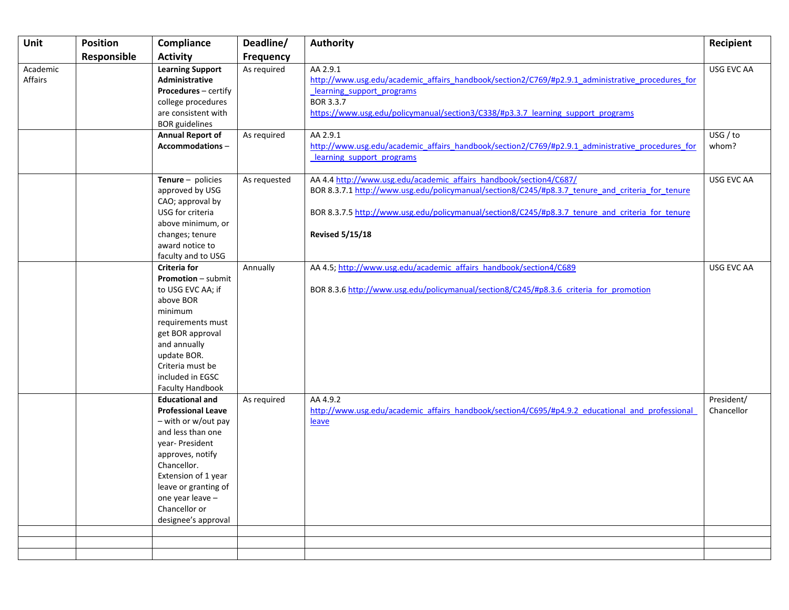| Unit                | <b>Position</b> | Compliance                                                                                                                                                                                                                                                       | Deadline/        | <b>Authority</b>                                                                                                                                                                                                                                                                                     | Recipient                |
|---------------------|-----------------|------------------------------------------------------------------------------------------------------------------------------------------------------------------------------------------------------------------------------------------------------------------|------------------|------------------------------------------------------------------------------------------------------------------------------------------------------------------------------------------------------------------------------------------------------------------------------------------------------|--------------------------|
|                     | Responsible     | <b>Activity</b>                                                                                                                                                                                                                                                  | <b>Frequency</b> |                                                                                                                                                                                                                                                                                                      |                          |
| Academic<br>Affairs |                 | <b>Learning Support</b><br>Administrative<br><b>Procedures</b> - certify<br>college procedures<br>are consistent with<br><b>BOR</b> guidelines                                                                                                                   | As required      | AA 2.9.1<br>http://www.usg.edu/academic affairs handbook/section2/C769/#p2.9.1 administrative procedures for<br>learning support programs<br>BOR 3.3.7<br>https://www.usg.edu/policymanual/section3/C338/#p3.3.7 learning support programs                                                           | USG EVC AA               |
|                     |                 | <b>Annual Report of</b><br>Accommodations-                                                                                                                                                                                                                       | As required      | AA 2.9.1<br>http://www.usg.edu/academic affairs handbook/section2/C769/#p2.9.1 administrative procedures for<br>learning support programs                                                                                                                                                            | USG / to<br>whom?        |
|                     |                 | Tenure $-$ policies<br>approved by USG<br>CAO; approval by<br>USG for criteria<br>above minimum, or<br>changes; tenure<br>award notice to<br>faculty and to USG                                                                                                  | As requested     | AA 4.4 http://www.usg.edu/academic affairs handbook/section4/C687/<br>BOR 8.3.7.1 http://www.usg.edu/policymanual/section8/C245/#p8.3.7 tenure and criteria for tenure<br>BOR 8.3.7.5 http://www.usg.edu/policymanual/section8/C245/#p8.3.7 tenure and criteria for tenure<br><b>Revised 5/15/18</b> | USG EVC AA               |
|                     |                 | <b>Criteria for</b><br><b>Promotion</b> - submit<br>to USG EVC AA; if<br>above BOR<br>minimum<br>requirements must<br>get BOR approval<br>and annually<br>update BOR.<br>Criteria must be<br>included in EGSC<br><b>Faculty Handbook</b>                         | Annually         | AA 4.5; http://www.usg.edu/academic affairs handbook/section4/C689<br>BOR 8.3.6 http://www.usg.edu/policymanual/section8/C245/#p8.3.6 criteria for promotion                                                                                                                                         | USG EVC AA               |
|                     |                 | <b>Educational and</b><br><b>Professional Leave</b><br>- with or w/out pay<br>and less than one<br>year- President<br>approves, notify<br>Chancellor.<br>Extension of 1 year<br>leave or granting of<br>one year leave -<br>Chancellor or<br>designee's approval | As required      | AA 4.9.2<br>http://www.usg.edu/academic_affairs_handbook/section4/C695/#p4.9.2_educational_and_professional<br>leave                                                                                                                                                                                 | President/<br>Chancellor |
|                     |                 |                                                                                                                                                                                                                                                                  |                  |                                                                                                                                                                                                                                                                                                      |                          |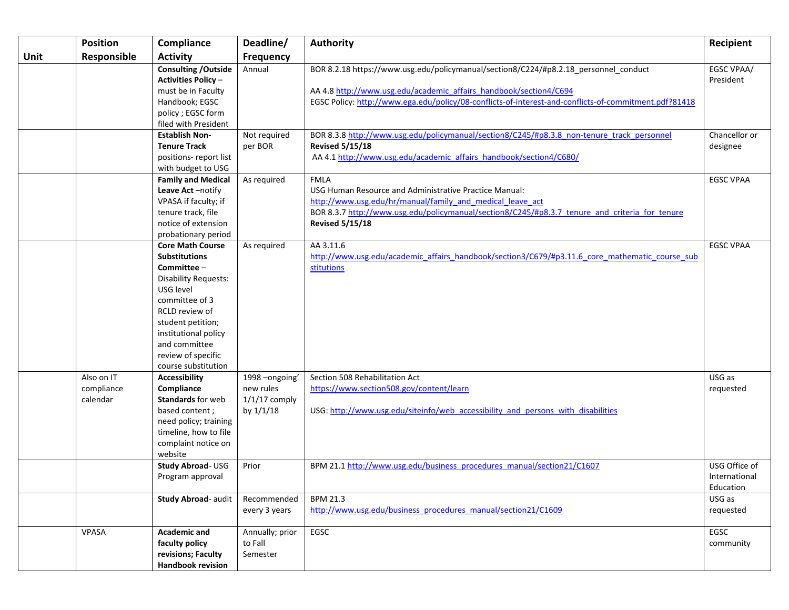|      | <b>Position</b>                      | Compliance                                                                                                                                                                                                                                                       | Deadline/                                                  | <b>Authority</b>                                                                                                                                                                                                                                                   | Recipient                                   |
|------|--------------------------------------|------------------------------------------------------------------------------------------------------------------------------------------------------------------------------------------------------------------------------------------------------------------|------------------------------------------------------------|--------------------------------------------------------------------------------------------------------------------------------------------------------------------------------------------------------------------------------------------------------------------|---------------------------------------------|
| Unit | Responsible                          | <b>Activity</b>                                                                                                                                                                                                                                                  | <b>Frequency</b>                                           |                                                                                                                                                                                                                                                                    |                                             |
|      |                                      | <b>Consulting / Outside</b><br><b>Activities Policy-</b><br>must be in Faculty<br>Handbook; EGSC                                                                                                                                                                 | Annual                                                     | BOR 8.2.18 https://www.usg.edu/policymanual/section8/C224/#p8.2.18_personnel_conduct<br>AA 4.8 http://www.usg.edu/academic_affairs_handbook/section4/C694<br>EGSC Policy: http://www.ega.edu/policy/08-conflicts-of-interest-and-conflicts-of-commitment.pdf?81418 | EGSC VPAA/<br>President                     |
|      |                                      | policy ; EGSC form<br>filed with President                                                                                                                                                                                                                       |                                                            |                                                                                                                                                                                                                                                                    |                                             |
|      |                                      | <b>Establish Non-</b><br><b>Tenure Track</b><br>positions-report list<br>with budget to USG                                                                                                                                                                      | Not required<br>per BOR                                    | BOR 8.3.8 http://www.usg.edu/policymanual/section8/C245/#p8.3.8 non-tenure track personnel<br><b>Revised 5/15/18</b><br>AA 4.1 http://www.usg.edu/academic affairs handbook/section4/C680/                                                                         | Chancellor or<br>designee                   |
|      |                                      | <b>Family and Medical</b><br>Leave Act-notify<br>VPASA if faculty; if<br>tenure track, file<br>notice of extension<br>probationary period                                                                                                                        | As required                                                | <b>FMLA</b><br>USG Human Resource and Administrative Practice Manual:<br>http://www.usg.edu/hr/manual/family and medical leave act<br>BOR 8.3.7 http://www.usg.edu/policymanual/section8/C245/#p8.3.7 tenure and criteria for tenure<br><b>Revised 5/15/18</b>     | <b>EGSC VPAA</b>                            |
|      |                                      | <b>Core Math Course</b><br><b>Substitutions</b><br>Committee -<br><b>Disability Requests:</b><br>USG level<br>committee of 3<br><b>RCLD</b> review of<br>student petition;<br>institutional policy<br>and committee<br>review of specific<br>course substitution | As required                                                | AA 3.11.6<br>http://www.usg.edu/academic affairs handbook/section3/C679/#p3.11.6 core mathematic course sub<br>stitutions                                                                                                                                          | <b>EGSC VPAA</b>                            |
|      | Also on IT<br>compliance<br>calendar | Accessibility<br>Compliance<br><b>Standards</b> for web<br>based content;<br>need policy; training<br>timeline, how to file<br>complaint notice on<br>website                                                                                                    | 1998-ongoing'<br>new rules<br>$1/1/17$ comply<br>by 1/1/18 | Section 508 Rehabilitation Act<br>https://www.section508.gov/content/learn<br>USG: http://www.usg.edu/siteinfo/web accessibility and persons with disabilities                                                                                                     | USG as<br>requested                         |
|      |                                      | Study Abroad- USG<br>Program approval                                                                                                                                                                                                                            | Prior                                                      | BPM 21.1 http://www.usg.edu/business_procedures_manual/section21/C1607                                                                                                                                                                                             | USG Office of<br>International<br>Education |
|      |                                      | <b>Study Abroad- audit</b>                                                                                                                                                                                                                                       | Recommended<br>every 3 years                               | <b>BPM 21.3</b><br>http://www.usg.edu/business_procedures_manual/section21/C1609                                                                                                                                                                                   | USG as<br>requested                         |
|      | VPASA                                | <b>Academic and</b><br>faculty policy<br>revisions; Faculty<br>Handbook revision                                                                                                                                                                                 | Annually; prior<br>to Fall<br>Semester                     | EGSC                                                                                                                                                                                                                                                               | EGSC<br>community                           |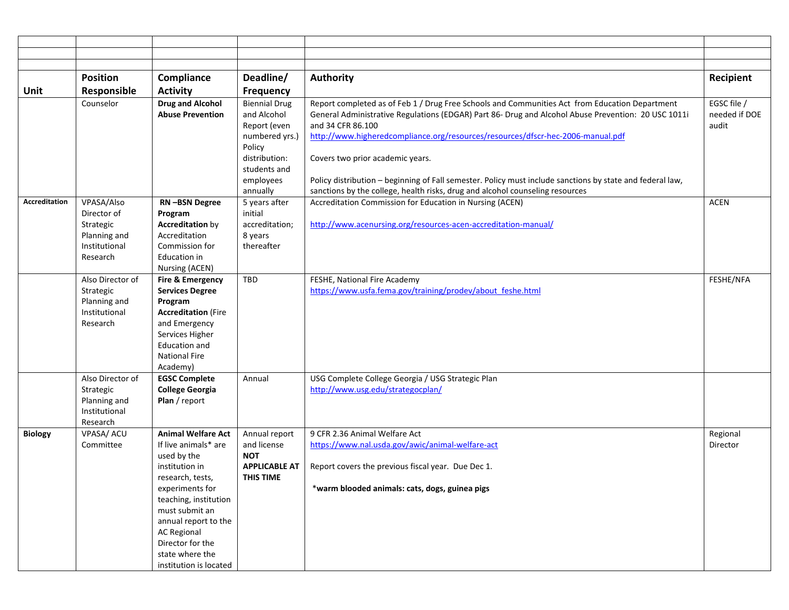|                | <b>Position</b>  | Compliance                    | Deadline/                         | <b>Authority</b>                                                                                          | Recipient     |
|----------------|------------------|-------------------------------|-----------------------------------|-----------------------------------------------------------------------------------------------------------|---------------|
| Unit           | Responsible      | <b>Activity</b>               | <b>Frequency</b>                  |                                                                                                           |               |
|                | Counselor        | <b>Drug and Alcohol</b>       | <b>Biennial Drug</b>              | Report completed as of Feb 1 / Drug Free Schools and Communities Act from Education Department            | EGSC file /   |
|                |                  | <b>Abuse Prevention</b>       | and Alcohol                       | General Administrative Regulations (EDGAR) Part 86- Drug and Alcohol Abuse Prevention: 20 USC 1011i       | needed if DOE |
|                |                  |                               | Report (even                      | and 34 CFR 86.100                                                                                         | audit         |
|                |                  |                               | numbered yrs.)                    | http://www.higheredcompliance.org/resources/resources/dfscr-hec-2006-manual.pdf                           |               |
|                |                  |                               | Policy<br>distribution:           |                                                                                                           |               |
|                |                  |                               | students and                      | Covers two prior academic years.                                                                          |               |
|                |                  |                               | employees                         | Policy distribution - beginning of Fall semester. Policy must include sanctions by state and federal law, |               |
|                |                  |                               | annually                          | sanctions by the college, health risks, drug and alcohol counseling resources                             |               |
| Accreditation  | VPASA/Also       | RN-BSN Degree                 | 5 years after                     | Accreditation Commission for Education in Nursing (ACEN)                                                  | <b>ACEN</b>   |
|                | Director of      | Program                       | initial                           |                                                                                                           |               |
|                | Strategic        | <b>Accreditation by</b>       | accreditation;                    | http://www.acenursing.org/resources-acen-accreditation-manual/                                            |               |
|                | Planning and     | Accreditation                 | 8 years                           |                                                                                                           |               |
|                | Institutional    | Commission for                | thereafter                        |                                                                                                           |               |
|                | Research         | Education in                  |                                   |                                                                                                           |               |
|                |                  | Nursing (ACEN)                |                                   |                                                                                                           |               |
|                | Also Director of | Fire & Emergency              | TBD                               | FESHE, National Fire Academy                                                                              | FESHE/NFA     |
|                | Strategic        | <b>Services Degree</b>        |                                   | https://www.usfa.fema.gov/training/prodev/about feshe.html                                                |               |
|                | Planning and     | Program                       |                                   |                                                                                                           |               |
|                | Institutional    | <b>Accreditation (Fire</b>    |                                   |                                                                                                           |               |
|                | Research         | and Emergency                 |                                   |                                                                                                           |               |
|                |                  | Services Higher               |                                   |                                                                                                           |               |
|                |                  | <b>Education and</b>          |                                   |                                                                                                           |               |
|                |                  | <b>National Fire</b>          |                                   |                                                                                                           |               |
|                |                  | Academy)                      |                                   |                                                                                                           |               |
|                | Also Director of | <b>EGSC Complete</b>          | Annual                            | USG Complete College Georgia / USG Strategic Plan                                                         |               |
|                | Strategic        | <b>College Georgia</b>        |                                   | http://www.usg.edu/strategocplan/                                                                         |               |
|                | Planning and     | Plan / report                 |                                   |                                                                                                           |               |
|                | Institutional    |                               |                                   |                                                                                                           |               |
|                | Research         |                               |                                   |                                                                                                           |               |
| <b>Biology</b> | VPASA/ ACU       | <b>Animal Welfare Act</b>     | Annual report                     | 9 CFR 2.36 Animal Welfare Act                                                                             | Regional      |
|                | Committee        | If live animals* are          | and license<br><b>NOT</b>         | https://www.nal.usda.gov/awic/animal-welfare-act                                                          | Director      |
|                |                  | used by the<br>institution in |                                   | Report covers the previous fiscal year. Due Dec 1.                                                        |               |
|                |                  | research, tests,              | <b>APPLICABLE AT</b><br>THIS TIME |                                                                                                           |               |
|                |                  | experiments for               |                                   | *warm blooded animals: cats, dogs, guinea pigs                                                            |               |
|                |                  | teaching, institution         |                                   |                                                                                                           |               |
|                |                  | must submit an                |                                   |                                                                                                           |               |
|                |                  | annual report to the          |                                   |                                                                                                           |               |
|                |                  | <b>AC Regional</b>            |                                   |                                                                                                           |               |
|                |                  | Director for the              |                                   |                                                                                                           |               |
|                |                  | state where the               |                                   |                                                                                                           |               |
|                |                  | institution is located        |                                   |                                                                                                           |               |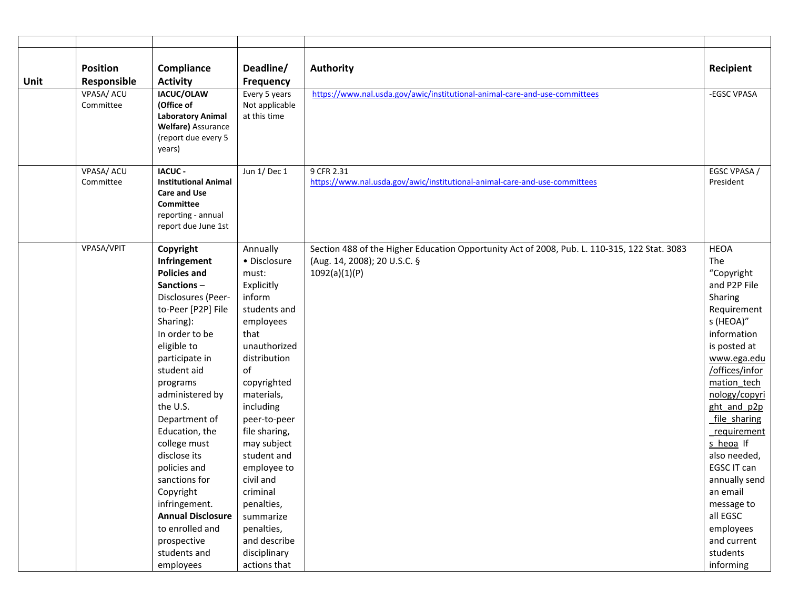| Unit | <b>Position</b><br>Responsible | Compliance<br><b>Activity</b>                                                                                                                                                                                                                                                                                                                                                                                                                                     | Deadline/<br>Frequency                                                                                                                                                                                                                                                                                                                                                         | Authority                                                                                                                                     | Recipient                                                                                                                                                                                                                                                                                                                                                                                     |
|------|--------------------------------|-------------------------------------------------------------------------------------------------------------------------------------------------------------------------------------------------------------------------------------------------------------------------------------------------------------------------------------------------------------------------------------------------------------------------------------------------------------------|--------------------------------------------------------------------------------------------------------------------------------------------------------------------------------------------------------------------------------------------------------------------------------------------------------------------------------------------------------------------------------|-----------------------------------------------------------------------------------------------------------------------------------------------|-----------------------------------------------------------------------------------------------------------------------------------------------------------------------------------------------------------------------------------------------------------------------------------------------------------------------------------------------------------------------------------------------|
|      | VPASA/ ACU<br>Committee        | IACUC/OLAW<br>(Office of<br><b>Laboratory Animal</b><br><b>Welfare)</b> Assurance<br>(report due every 5<br>years)                                                                                                                                                                                                                                                                                                                                                | Every 5 years<br>Not applicable<br>at this time                                                                                                                                                                                                                                                                                                                                | https://www.nal.usda.gov/awic/institutional-animal-care-and-use-committees                                                                    | -EGSC VPASA                                                                                                                                                                                                                                                                                                                                                                                   |
|      | VPASA/ ACU<br>Committee        | <b>IACUC-</b><br><b>Institutional Animal</b><br><b>Care and Use</b><br>Committee<br>reporting - annual<br>report due June 1st                                                                                                                                                                                                                                                                                                                                     | Jun 1/ Dec 1                                                                                                                                                                                                                                                                                                                                                                   | 9 CFR 2.31<br>https://www.nal.usda.gov/awic/institutional-animal-care-and-use-committees                                                      | EGSC VPASA /<br>President                                                                                                                                                                                                                                                                                                                                                                     |
|      | VPASA/VPIT                     | Copyright<br>Infringement<br><b>Policies and</b><br>Sanctions-<br>Disclosures (Peer-<br>to-Peer [P2P] File<br>Sharing):<br>In order to be<br>eligible to<br>participate in<br>student aid<br>programs<br>administered by<br>the U.S.<br>Department of<br>Education, the<br>college must<br>disclose its<br>policies and<br>sanctions for<br>Copyright<br>infringement.<br><b>Annual Disclosure</b><br>to enrolled and<br>prospective<br>students and<br>employees | Annually<br>• Disclosure<br>must:<br>Explicitly<br>inform<br>students and<br>employees<br>that<br>unauthorized<br>distribution<br>of<br>copyrighted<br>materials,<br>including<br>peer-to-peer<br>file sharing,<br>may subject<br>student and<br>employee to<br>civil and<br>criminal<br>penalties,<br>summarize<br>penalties,<br>and describe<br>disciplinary<br>actions that | Section 488 of the Higher Education Opportunity Act of 2008, Pub. L. 110-315, 122 Stat. 3083<br>(Aug. 14, 2008); 20 U.S.C. §<br>1092(a)(1)(P) | <b>HEOA</b><br>The<br>"Copyright<br>and P2P File<br>Sharing<br>Requirement<br>s (HEOA)"<br>information<br>is posted at<br>www.ega.edu<br>/offices/infor<br>mation tech<br>nology/copyri<br>ght and p2p<br>file sharing<br>requirement<br>s heoa If<br>also needed,<br>EGSC IT can<br>annually send<br>an email<br>message to<br>all EGSC<br>employees<br>and current<br>students<br>informing |